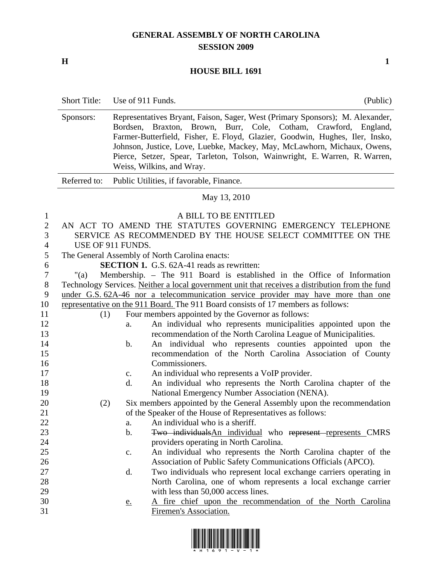## **GENERAL ASSEMBLY OF NORTH CAROLINA SESSION 2009**

**H** 1

## **HOUSE BILL 1691**

|                                                       | <b>Short Title:</b>                                                                             | Use of 911 Funds. |                                                                                                                                                                                                                                                                                                                                                                                                               | (Public) |
|-------------------------------------------------------|-------------------------------------------------------------------------------------------------|-------------------|---------------------------------------------------------------------------------------------------------------------------------------------------------------------------------------------------------------------------------------------------------------------------------------------------------------------------------------------------------------------------------------------------------------|----------|
|                                                       | Sponsors:                                                                                       | Bordsen,          | Representatives Bryant, Faison, Sager, West (Primary Sponsors); M. Alexander,<br>Braxton, Brown, Burr, Cole, Cotham, Crawford, England,<br>Farmer-Butterfield, Fisher, E. Floyd, Glazier, Goodwin, Hughes, Iler, Insko,<br>Johnson, Justice, Love, Luebke, Mackey, May, McLawhorn, Michaux, Owens,<br>Pierce, Setzer, Spear, Tarleton, Tolson, Wainwright, E. Warren, R. Warren,<br>Weiss, Wilkins, and Wray. |          |
|                                                       | Referred to:                                                                                    |                   | Public Utilities, if favorable, Finance.                                                                                                                                                                                                                                                                                                                                                                      |          |
|                                                       |                                                                                                 |                   | May 13, 2010                                                                                                                                                                                                                                                                                                                                                                                                  |          |
| $\mathbf{1}$<br>$\overline{2}$<br>3<br>$\overline{4}$ |                                                                                                 | USE OF 911 FUNDS. | A BILL TO BE ENTITLED<br>AN ACT TO AMEND THE STATUTES GOVERNING EMERGENCY TELEPHONE<br>SERVICE AS RECOMMENDED BY THE HOUSE SELECT COMMITTEE ON THE                                                                                                                                                                                                                                                            |          |
| 5                                                     |                                                                                                 |                   | The General Assembly of North Carolina enacts:                                                                                                                                                                                                                                                                                                                                                                |          |
| 6                                                     |                                                                                                 |                   | <b>SECTION 1.</b> G.S. 62A-41 reads as rewritten:                                                                                                                                                                                                                                                                                                                                                             |          |
| $\tau$                                                | "(a)                                                                                            |                   | Membership. - The 911 Board is established in the Office of Information                                                                                                                                                                                                                                                                                                                                       |          |
| $8\,$                                                 | Technology Services. Neither a local government unit that receives a distribution from the fund |                   |                                                                                                                                                                                                                                                                                                                                                                                                               |          |
| 9                                                     | under G.S. 62A-46 nor a telecommunication service provider may have more than one               |                   |                                                                                                                                                                                                                                                                                                                                                                                                               |          |
| 10                                                    | representative on the 911 Board. The 911 Board consists of 17 members as follows:               |                   |                                                                                                                                                                                                                                                                                                                                                                                                               |          |
| 11                                                    | (1)                                                                                             |                   | Four members appointed by the Governor as follows:                                                                                                                                                                                                                                                                                                                                                            |          |
| 12                                                    |                                                                                                 | a.                | An individual who represents municipalities appointed upon the                                                                                                                                                                                                                                                                                                                                                |          |
| 13                                                    |                                                                                                 |                   | recommendation of the North Carolina League of Municipalities.                                                                                                                                                                                                                                                                                                                                                |          |
| 14                                                    |                                                                                                 | $\mathbf b$ .     | An individual who represents counties appointed upon the                                                                                                                                                                                                                                                                                                                                                      |          |
| 15                                                    |                                                                                                 |                   | recommendation of the North Carolina Association of County                                                                                                                                                                                                                                                                                                                                                    |          |
| 16                                                    |                                                                                                 |                   | Commissioners.                                                                                                                                                                                                                                                                                                                                                                                                |          |
| 17                                                    |                                                                                                 | $\mathbf{c}.$     | An individual who represents a VoIP provider.                                                                                                                                                                                                                                                                                                                                                                 |          |
| 18                                                    |                                                                                                 | d.                | An individual who represents the North Carolina chapter of the                                                                                                                                                                                                                                                                                                                                                |          |
| 19                                                    |                                                                                                 |                   | National Emergency Number Association (NENA).                                                                                                                                                                                                                                                                                                                                                                 |          |
| 20                                                    | (2)                                                                                             |                   | Six members appointed by the General Assembly upon the recommendation                                                                                                                                                                                                                                                                                                                                         |          |
| 21                                                    |                                                                                                 |                   | of the Speaker of the House of Representatives as follows:                                                                                                                                                                                                                                                                                                                                                    |          |
| 22                                                    |                                                                                                 | a.                | An individual who is a sheriff.                                                                                                                                                                                                                                                                                                                                                                               |          |
| 23                                                    |                                                                                                 | $\mathbf b$ .     | Two individuals An individual who represent represents CMRS                                                                                                                                                                                                                                                                                                                                                   |          |
| 24                                                    |                                                                                                 |                   | providers operating in North Carolina.                                                                                                                                                                                                                                                                                                                                                                        |          |
| 25<br>26                                              |                                                                                                 | $\mathbf{c}.$     | An individual who represents the North Carolina chapter of the<br>Association of Public Safety Communications Officials (APCO).                                                                                                                                                                                                                                                                               |          |
| 27                                                    |                                                                                                 | d.                | Two individuals who represent local exchange carriers operating in                                                                                                                                                                                                                                                                                                                                            |          |
| 28                                                    |                                                                                                 |                   | North Carolina, one of whom represents a local exchange carrier                                                                                                                                                                                                                                                                                                                                               |          |
| 29                                                    |                                                                                                 |                   | with less than 50,000 access lines.                                                                                                                                                                                                                                                                                                                                                                           |          |
| 30                                                    |                                                                                                 |                   | A fire chief upon the recommendation of the North Carolina                                                                                                                                                                                                                                                                                                                                                    |          |
| 31                                                    |                                                                                                 | <u>e.</u>         | Firemen's Association.                                                                                                                                                                                                                                                                                                                                                                                        |          |

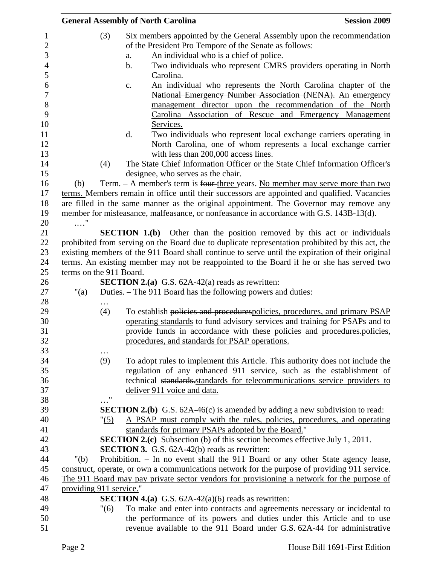|                         |         | <b>General Assembly of North Carolina</b>                                                        | <b>Session 2009</b> |
|-------------------------|---------|--------------------------------------------------------------------------------------------------|---------------------|
|                         | (3)     | Six members appointed by the General Assembly upon the recommendation                            |                     |
|                         |         | of the President Pro Tempore of the Senate as follows:                                           |                     |
|                         |         | An individual who is a chief of police.<br>a.                                                    |                     |
|                         |         | Two individuals who represent CMRS providers operating in North<br>$\mathbf b$ .                 |                     |
|                         |         | Carolina.                                                                                        |                     |
|                         |         | An individual who represents the North Carolina chapter of the<br>c.                             |                     |
|                         |         | National Emergency Number Association (NENA). An emergency                                       |                     |
|                         |         | management director upon the recommendation of the North                                         |                     |
|                         |         | Carolina Association of Rescue and Emergency Management                                          |                     |
|                         |         | Services.                                                                                        |                     |
|                         |         | Two individuals who represent local exchange carriers operating in<br>d.                         |                     |
|                         |         | North Carolina, one of whom represents a local exchange carrier                                  |                     |
|                         |         | with less than 200,000 access lines.                                                             |                     |
|                         | (4)     | The State Chief Information Officer or the State Chief Information Officer's                     |                     |
|                         |         | designee, who serves as the chair.                                                               |                     |
| (b)                     |         | Term. - A member's term is four three years. No member may serve more than two                   |                     |
|                         |         | terms. Members remain in office until their successors are appointed and qualified. Vacancies    |                     |
|                         |         | are filled in the same manner as the original appointment. The Governor may remove any           |                     |
|                         |         | member for misfeasance, malfeasance, or nonfeasance in accordance with G.S. 143B-13(d).          |                     |
| $\ldots$ "              |         |                                                                                                  |                     |
|                         |         | <b>SECTION 1.(b)</b> Other than the position removed by this act or individuals                  |                     |
|                         |         | prohibited from serving on the Board due to duplicate representation prohibited by this act, the |                     |
|                         |         | existing members of the 911 Board shall continue to serve until the expiration of their original |                     |
|                         |         | terms. An existing member may not be reappointed to the Board if he or she has served two        |                     |
| terms on the 911 Board. |         | <b>SECTION 2.(a)</b> G.S. $62A-42(a)$ reads as rewritten:                                        |                     |
| "(a)                    |         | Duties. – The 911 Board has the following powers and duties:                                     |                     |
|                         |         |                                                                                                  |                     |
|                         | (4)     | To establish policies and procedurespolicies, procedures, and primary PSAP                       |                     |
|                         |         | operating standards to fund advisory services and training for PSAPs and to                      |                     |
|                         |         | provide funds in accordance with these policies and procedures.policies,                         |                     |
|                         |         | procedures, and standards for PSAP operations.                                                   |                     |
|                         |         |                                                                                                  |                     |
|                         | (9)     | To adopt rules to implement this Article. This authority does not include the                    |                     |
|                         |         | regulation of any enhanced 911 service, such as the establishment of                             |                     |
|                         |         | technical standards standards for telecommunications service providers to                        |                     |
|                         |         | deliver 911 voice and data.                                                                      |                     |
|                         | "       |                                                                                                  |                     |
|                         |         | <b>SECTION 2.(b)</b> G.S. $62A-46(c)$ is amended by adding a new subdivision to read:            |                     |
|                         | " $(5)$ | A PSAP must comply with the rules, policies, procedures, and operating                           |                     |
|                         |         | standards for primary PSAPs adopted by the Board."                                               |                     |
|                         |         | <b>SECTION 2.(c)</b> Subsection (b) of this section becomes effective July 1, 2011.              |                     |
|                         |         | <b>SECTION 3.</b> G.S. 62A-42(b) reads as rewritten:                                             |                     |
| " $(b)$                 |         | Prohibition. - In no event shall the 911 Board or any other State agency lease,                  |                     |
|                         |         | construct, operate, or own a communications network for the purpose of providing 911 service.    |                     |
|                         |         | The 911 Board may pay private sector vendors for provisioning a network for the purpose of       |                     |
| providing 911 service." |         |                                                                                                  |                     |
|                         |         | <b>SECTION 4.(a)</b> G.S. $62A-42(a)(6)$ reads as rewritten:                                     |                     |
|                         | "(6)    | To make and enter into contracts and agreements necessary or incidental to                       |                     |
|                         |         | the performance of its powers and duties under this Article and to use                           |                     |
|                         |         | revenue available to the 911 Board under G.S. 62A-44 for administrative                          |                     |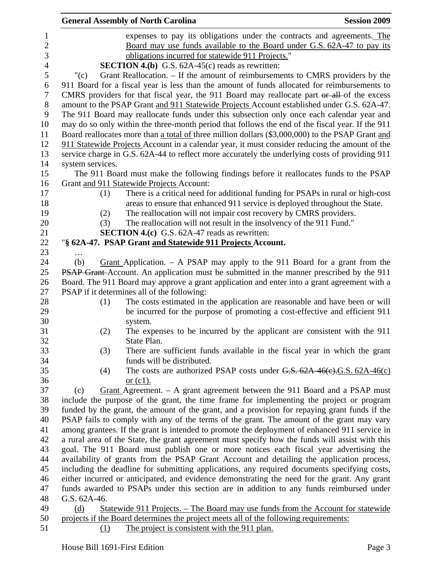|                |                  | <b>General Assembly of North Carolina</b>                                                        | <b>Session 2009</b> |
|----------------|------------------|--------------------------------------------------------------------------------------------------|---------------------|
| 1              |                  | expenses to pay its obligations under the contracts and agreements. The                          |                     |
| $\overline{c}$ |                  | Board may use funds available to the Board under G.S. 62A-47 to pay its                          |                     |
| 3              |                  | obligations incurred for statewide 911 Projects."                                                |                     |
| $\overline{4}$ |                  | <b>SECTION 4.(b)</b> G.S. $62A-45(c)$ reads as rewritten:                                        |                     |
| 5              | " $(c)$          | Grant Reallocation. – If the amount of reimbursements to CMRS providers by the                   |                     |
| 6              |                  | 911 Board for a fiscal year is less than the amount of funds allocated for reimbursements to     |                     |
| $\tau$         |                  | CMRS providers for that fiscal year, the 911 Board may reallocate part or all of the excess      |                     |
| $8\,$          |                  | amount to the PSAP Grant and 911 Statewide Projects Account established under G.S. 62A-47.       |                     |
| 9              |                  | The 911 Board may reallocate funds under this subsection only once each calendar year and        |                     |
| 10             |                  | may do so only within the three-month period that follows the end of the fiscal year. If the 911 |                     |
| 11             |                  | Board reallocates more than a total of three million dollars (\$3,000,000) to the PSAP Grant and |                     |
| 12             |                  | 911 Statewide Projects Account in a calendar year, it must consider reducing the amount of the   |                     |
| 13             |                  | service charge in G.S. 62A-44 to reflect more accurately the underlying costs of providing 911   |                     |
| 14             | system services. |                                                                                                  |                     |
| 15             |                  | The 911 Board must make the following findings before it reallocates funds to the PSAP           |                     |
| 16             |                  | Grant and 911 Statewide Projects Account:                                                        |                     |
| 17             | (1)              | There is a critical need for additional funding for PSAPs in rural or high-cost                  |                     |
| 18             |                  | areas to ensure that enhanced 911 service is deployed throughout the State.                      |                     |
| 19             | (2)              | The reallocation will not impair cost recovery by CMRS providers.                                |                     |
| 20             | (3)              | The reallocation will not result in the insolvency of the 911 Fund."                             |                     |
| 21             |                  | <b>SECTION 4.(c)</b> G.S. 62A-47 reads as rewritten:                                             |                     |
| 22             |                  | "§ 62A-47. PSAP Grant and Statewide 911 Projects Account.                                        |                     |
| 23             |                  |                                                                                                  |                     |
| 24             | (b)              | <u>Grant</u> Application. $-$ A PSAP may apply to the 911 Board for a grant from the             |                     |
| 25             |                  | <b>PSAP Grant-Account.</b> An application must be submitted in the manner prescribed by the 911  |                     |
| 26             |                  | Board. The 911 Board may approve a grant application and enter into a grant agreement with a     |                     |
| 27             |                  | PSAP if it determines all of the following:                                                      |                     |
| 28             | (1)              | The costs estimated in the application are reasonable and have been or will                      |                     |
| 29             |                  | be incurred for the purpose of promoting a cost-effective and efficient 911                      |                     |
| 30             |                  | system.                                                                                          |                     |
| 31             | (2)              | The expenses to be incurred by the applicant are consistent with the 911                         |                     |
| 32             |                  | State Plan.                                                                                      |                     |
| 33             | (3)              | There are sufficient funds available in the fiscal year in which the grant                       |                     |
| 34<br>35       |                  | funds will be distributed.                                                                       |                     |
| 36             | (4)              | The costs are authorized PSAP costs under $G.S. 62A-46(c).G.S. 62A-46(c)$<br>or $(c1)$ .         |                     |
| 37             | (c)              | Grant Agreement. – A grant agreement between the 911 Board and a PSAP must                       |                     |
| 38             |                  | include the purpose of the grant, the time frame for implementing the project or program         |                     |
| 39             |                  | funded by the grant, the amount of the grant, and a provision for repaying grant funds if the    |                     |
| 40             |                  | PSAP fails to comply with any of the terms of the grant. The amount of the grant may vary        |                     |
| 41             |                  | among grantees. If the grant is intended to promote the deployment of enhanced 911 service in    |                     |
| 42             |                  | a rural area of the State, the grant agreement must specify how the funds will assist with this  |                     |
| 43             |                  | goal. The 911 Board must publish one or more notices each fiscal year advertising the            |                     |
| 44             |                  | availability of grants from the PSAP Grant Account and detailing the application process,        |                     |
| 45             |                  | including the deadline for submitting applications, any required documents specifying costs,     |                     |
| 46             |                  | either incurred or anticipated, and evidence demonstrating the need for the grant. Any grant     |                     |
| 47             |                  | funds awarded to PSAPs under this section are in addition to any funds reimbursed under          |                     |
| 48             | G.S. 62A-46.     |                                                                                                  |                     |
| 49             | (d)              | <u> Statewide 911 Projects. – The Board may use funds from the Account for statewide</u>         |                     |
| 50             |                  | projects if the Board determines the project meets all of the following requirements:            |                     |
| 51             | (1)              | The project is consistent with the 911 plan.                                                     |                     |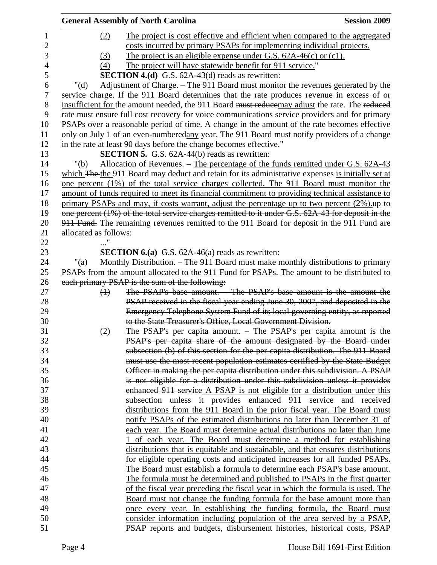|                  |                       | <b>General Assembly of North Carolina</b>                                                         | <b>Session 2009</b> |
|------------------|-----------------------|---------------------------------------------------------------------------------------------------|---------------------|
| $\mathbf{1}$     | (2)                   | The project is cost effective and efficient when compared to the aggregated                       |                     |
| $\mathbf{2}$     |                       | costs incurred by primary PSAPs for implementing individual projects.                             |                     |
| 3                | (3)                   | The project is an eligible expense under G.S. $62A-46(c)$ or $(c1)$ .                             |                     |
| $\overline{4}$   | (4)                   | The project will have statewide benefit for 911 service."                                         |                     |
| 5                |                       | <b>SECTION 4.(d)</b> G.S. 62A-43(d) reads as rewritten:                                           |                     |
| 6                | " $(d)$               | Adjustment of Charge. - The 911 Board must monitor the revenues generated by the                  |                     |
| $\boldsymbol{7}$ |                       | service charge. If the 911 Board determines that the rate produces revenue in excess of or        |                     |
| $8\,$            |                       | insufficient for the amount needed, the 911 Board must reducemay adjust the rate. The reduced     |                     |
| 9                |                       | rate must ensure full cost recovery for voice communications service providers and for primary    |                     |
| 10               |                       | PSAPs over a reasonable period of time. A change in the amount of the rate becomes effective      |                     |
| 11               |                       | only on July 1 of an even-numberedany year. The 911 Board must notify providers of a change       |                     |
| 12               |                       | in the rate at least 90 days before the change becomes effective."                                |                     |
| 13               |                       | <b>SECTION 5.</b> G.S. 62A-44(b) reads as rewritten:                                              |                     |
| 14               | "(b)                  | Allocation of Revenues. – The percentage of the funds remitted under G.S. 62A-43                  |                     |
| 15               |                       | which The the 911 Board may deduct and retain for its administrative expenses is initially set at |                     |
| 16               |                       | one percent (1%) of the total service charges collected. The 911 Board must monitor the           |                     |
| 17               |                       | amount of funds required to meet its financial commitment to providing technical assistance to    |                     |
| 18               |                       | primary PSAPs and may, if costs warrant, adjust the percentage up to two percent $(2\%)$ .        |                     |
| 19               |                       | one percent (1%) of the total service charges remitted to it under G.S. 62A 43 for deposit in the |                     |
| 20               |                       | 911 Fund. The remaining revenues remitted to the 911 Board for deposit in the 911 Fund are        |                     |
| 21               | allocated as follows: |                                                                                                   |                     |
| 22               |                       |                                                                                                   |                     |
| 23               |                       | <b>SECTION 6.(a)</b> G.S. $62A-46(a)$ reads as rewritten:                                         |                     |
| 24               | "(a)                  | Monthly Distribution. - The 911 Board must make monthly distributions to primary                  |                     |
| 25               |                       | PSAPs from the amount allocated to the 911 Fund for PSAPs. The amount to be distributed to        |                     |
| 26               |                       | each primary PSAP is the sum of the following:                                                    |                     |
| 27               | $\leftrightarrow$     | The PSAP's base amount. The PSAP's base amount is the amount the                                  |                     |
| 28               |                       | PSAP received in the fiscal year ending June 30, 2007, and deposited in the                       |                     |
| 29               |                       | Emergency Telephone System Fund of its local governing entity, as reported                        |                     |
| 30               |                       | to the State Treasurer's Office, Local Government Division.                                       |                     |
| 31               | (2)                   | The PSAP's per capita amount. The PSAP's per capita amount is the                                 |                     |
| 32               |                       | PSAP's per capita share of the amount designated by the Board under                               |                     |
| 33               |                       | subsection (b) of this section for the per capita distribution. The 911 Board                     |                     |
| 34               |                       | must use the most recent population estimates certified by the State Budget                       |                     |
| 35               |                       | Officer in making the per capita distribution under this subdivision. A PSAP                      |                     |
| 36               |                       | is not eligible for a distribution under this subdivision unless it provides                      |                     |
| 37               |                       | enhanced 911 service A PSAP is not eligible for a distribution under this                         |                     |
| 38               |                       | subsection unless it provides enhanced 911 service and received                                   |                     |
| 39               |                       | distributions from the 911 Board in the prior fiscal year. The Board must                         |                     |
| 40               |                       | notify PSAPs of the estimated distributions no later than December 31 of                          |                     |
| 41               |                       | each year. The Board must determine actual distributions no later than June                       |                     |
| 42               |                       | of each year. The Board must determine a method for establishing                                  |                     |
| 43               |                       | distributions that is equitable and sustainable, and that ensures distributions                   |                     |
| 44               |                       | for eligible operating costs and anticipated increases for all funded PSAPs.                      |                     |
| 45               |                       | The Board must establish a formula to determine each PSAP's base amount.                          |                     |
| 46               |                       | The formula must be determined and published to PSAPs in the first quarter                        |                     |
| 47               |                       | of the fiscal year preceding the fiscal year in which the formula is used. The                    |                     |
| 48               |                       | <u>Board must not change the funding formula for the base amount more than</u>                    |                     |
| 49               |                       | <u>once every year. In establishing the funding formula, the Board must</u>                       |                     |
| 50               |                       | consider information including population of the area served by a PSAP,                           |                     |
| 51               |                       | PSAP reports and budgets, disbursement histories, historical costs, PSAP                          |                     |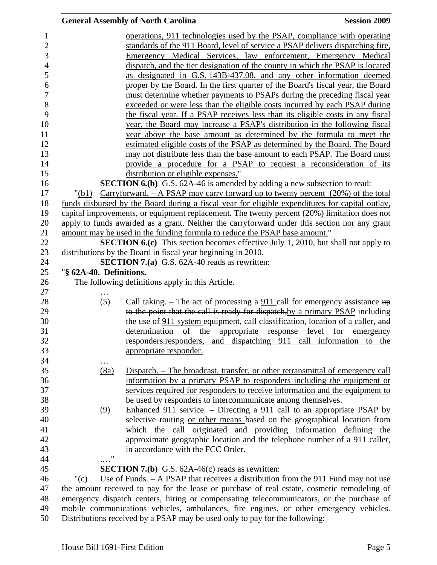|                         | <b>General Assembly of North Carolina</b>                                                                                                                                               | <b>Session 2009</b> |
|-------------------------|-----------------------------------------------------------------------------------------------------------------------------------------------------------------------------------------|---------------------|
|                         | operations, 911 technologies used by the PSAP, compliance with operating                                                                                                                |                     |
|                         | standards of the 911 Board, level of service a PSAP delivers dispatching fire,                                                                                                          |                     |
|                         | Emergency Medical Services, law enforcement, Emergency Medical                                                                                                                          |                     |
|                         | dispatch, and the tier designation of the county in which the PSAP is located                                                                                                           |                     |
|                         | as designated in G.S. 143B-437.08, and any other information deemed                                                                                                                     |                     |
|                         |                                                                                                                                                                                         |                     |
|                         | proper by the Board. In the first quarter of the Board's fiscal year, the Board                                                                                                         |                     |
|                         | must determine whether payments to PSAPs during the preceding fiscal year                                                                                                               |                     |
|                         | exceeded or were less than the eligible costs incurred by each PSAP during                                                                                                              |                     |
|                         | the fiscal year. If a PSAP receives less than its eligible costs in any fiscal                                                                                                          |                     |
|                         | year, the Board may increase a PSAP's distribution in the following fiscal                                                                                                              |                     |
|                         | year above the base amount as determined by the formula to meet the                                                                                                                     |                     |
|                         | estimated eligible costs of the PSAP as determined by the Board. The Board                                                                                                              |                     |
|                         | may not distribute less than the base amount to each PSAP. The Board must                                                                                                               |                     |
|                         | provide a procedure for a PSAP to request a reconsideration of its                                                                                                                      |                     |
|                         | distribution or eligible expenses."                                                                                                                                                     |                     |
|                         | <b>SECTION 6.(b)</b> G.S. 62A-46 is amended by adding a new subsection to read:                                                                                                         |                     |
| "(b1)                   | Carryforward. $-$ A PSAP may carry forward up to twenty percent $(20%)$ of the total                                                                                                    |                     |
|                         | funds disbursed by the Board during a fiscal year for eligible expenditures for capital outlay,                                                                                         |                     |
|                         | capital improvements, or equipment replacement. The twenty percent (20%) limitation does not                                                                                            |                     |
|                         | apply to funds awarded as a grant. Neither the carryforward under this section nor any grant                                                                                            |                     |
|                         | amount may be used in the funding formula to reduce the PSAP base amount."                                                                                                              |                     |
|                         | <b>SECTION 6.(c)</b> This section becomes effective July 1, 2010, but shall not apply to                                                                                                |                     |
|                         | distributions by the Board in fiscal year beginning in 2010.                                                                                                                            |                     |
|                         | <b>SECTION 7.(a)</b> G.S. 62A-40 reads as rewritten:                                                                                                                                    |                     |
| "§ 62A-40. Definitions. |                                                                                                                                                                                         |                     |
|                         | The following definitions apply in this Article.                                                                                                                                        |                     |
|                         |                                                                                                                                                                                         |                     |
| (5)                     | Call taking. – The act of processing a $911$ call for emergency assistance $up$                                                                                                         |                     |
|                         | to the point that the call is ready for dispatch, by a primary PSAP including                                                                                                           |                     |
|                         | the use of 911 system equipment, call classification, location of a caller, and                                                                                                         |                     |
|                         | determination of the appropriate response level for                                                                                                                                     | emergency           |
|                         |                                                                                                                                                                                         |                     |
|                         | responders responders, and dispatching 911 call information to the                                                                                                                      |                     |
|                         | appropriate responder.                                                                                                                                                                  |                     |
|                         |                                                                                                                                                                                         |                     |
|                         |                                                                                                                                                                                         |                     |
| (8a)                    | Dispatch. – The broadcast, transfer, or other retransmittal of emergency call                                                                                                           |                     |
|                         | information by a primary PSAP to responders including the equipment or                                                                                                                  |                     |
|                         | services required for responders to receive information and the equipment to                                                                                                            |                     |
|                         | be used by responders to intercommunicate among themselves.                                                                                                                             |                     |
| (9)                     | Enhanced 911 service. – Directing a 911 call to an appropriate PSAP by                                                                                                                  |                     |
|                         | selective routing or other means based on the geographical location from                                                                                                                |                     |
|                         | which the call originated and providing information defining the                                                                                                                        |                     |
|                         | approximate geographic location and the telephone number of a 911 caller,                                                                                                               |                     |
|                         | in accordance with the FCC Order.                                                                                                                                                       |                     |
| 11                      |                                                                                                                                                                                         |                     |
|                         |                                                                                                                                                                                         |                     |
|                         | <b>SECTION 7.(b)</b> G.S. $62A-46(c)$ reads as rewritten:                                                                                                                               |                     |
| " $(c)$                 | Use of Funds. - A PSAP that receives a distribution from the 911 Fund may not use                                                                                                       |                     |
|                         | the amount received to pay for the lease or purchase of real estate, cosmetic remodeling of<br>emergency dispatch centers, hiring or compensating telecommunicators, or the purchase of |                     |

50 Distributions received by a PSAP may be used only to pay for the following: